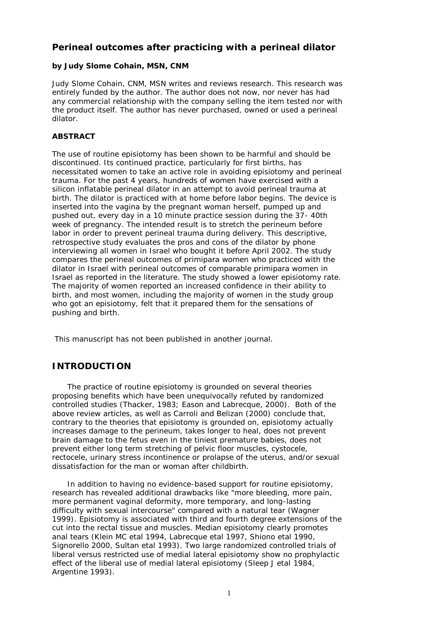# **Perineal outcomes after practicing with a perineal dilator**

## **by Judy Slome Cohain, MSN, CNM**

Judy Slome Cohain, CNM, MSN writes and reviews research. This research was entirely funded by the author. The author does not now, nor never has had any commercial relationship with the company selling the item tested nor with the product itself. The author has never purchased, owned or used a perineal dilator.

### **ABSTRACT**

The use of routine episiotomy has been shown to be harmful and should be discontinued. Its continued practice, particularly for first births, has necessitated women to take an active role in avoiding episiotomy and perineal trauma. For the past 4 years, hundreds of women have exercised with a silicon inflatable perineal dilator in an attempt to avoid perineal trauma at birth. The dilator is practiced with at home before labor begins. The device is inserted into the vagina by the pregnant woman herself, pumped up and pushed out, every day in a 10 minute practice session during the 37- 40th week of pregnancy. The intended result is to stretch the perineum before labor in order to prevent perineal trauma during delivery. This descriptive, retrospective study evaluates the pros and cons of the dilator by phone interviewing all women in Israel who bought it before April 2002. The study compares the perineal outcomes of primipara women who practiced with the dilator in Israel with perineal outcomes of comparable primipara women in Israel as reported in the literature. The study showed a lower episiotomy rate. The majority of women reported an increased confidence in their ability to birth, and most women, including the majority of women in the study group who got an episiotomy, felt that it prepared them for the sensations of pushing and birth.

This manuscript has not been published in another journal.

# *INTRODUCTION*

 The practice of routine episiotomy is grounded on several theories proposing benefits which have been unequivocally refuted by randomized controlled studies (Thacker, 1983; Eason and Labrecque, 2000). Both of the above review articles, as well as Carroli and Belizan (2000) conclude that, contrary to the theories that episiotomy is grounded on, episiotomy actually increases damage to the perineum, takes longer to heal, does not prevent brain damage to the fetus even in the tiniest premature babies, does not prevent either long term stretching of pelvic floor muscles, cystocele, rectocele, urinary stress incontinence or prolapse of the uterus, and/or sexual dissatisfaction for the man or woman after childbirth.

 In addition to having no evidence-based support for routine episiotomy, research has revealed additional drawbacks like "more bleeding, more pain, more permanent vaginal deformity, more temporary, and long-lasting difficulty with sexual intercourse" compared with a natural tear (Wagner 1999). Episiotomy is associated with third and fourth degree extensions of the cut into the rectal tissue and muscles. Median episiotomy clearly promotes anal tears (Klein MC etal 1994, Labrecque etal 1997, Shiono etal 1990, Signorello 2000, Sultan etal 1993). Two large randomized controlled trials of liberal versus restricted use of medial lateral episiotomy show no prophylactic effect of the liberal use of medial lateral episiotomy (Sleep J etal 1984, Argentine 1993).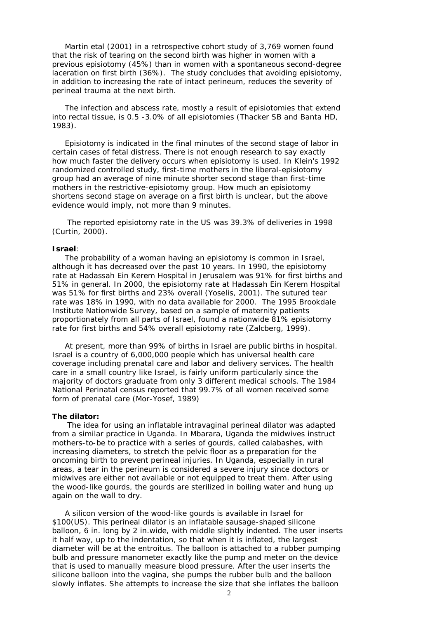Martin etal (2001) in a retrospective cohort study of 3,769 women found that the risk of tearing on the second birth was higher in women with a previous episiotomy (45%) than in women with a spontaneous second-degree laceration on first birth (36%). The study concludes that avoiding episiotomy, in addition to increasing the rate of intact perineum, reduces the severity of perineal trauma at the next birth.

 The infection and abscess rate, mostly a result of episiotomies that extend into rectal tissue, is 0.5 -3.0% of all episiotomies (Thacker SB and Banta HD, 1983).

 Episiotomy is indicated in the final minutes of the second stage of labor in certain cases of fetal distress. There is not enough research to say exactly how much faster the delivery occurs when episiotomy is used. In Klein's 1992 randomized controlled study, first-time mothers in the liberal-episiotomy group had an average of nine minute shorter second stage than first-time mothers in the restrictive-episiotomy group. How much an episiotomy shortens second stage on average on a first birth is unclear, but the above evidence would imply, not more than 9 minutes.

 The reported episiotomy rate in the US was 39.3% of deliveries in 1998 (Curtin, 2000).

#### **Israel**:

 The probability of a woman having an episiotomy is common in Israel, although it has decreased over the past 10 years. In 1990, the episiotomy rate at Hadassah Ein Kerem Hospital in Jerusalem was 91% for first births and 51% in general. In 2000, the episiotomy rate at Hadassah Ein Kerem Hospital was 51% for first births and 23% overall (Yoselis, 2001). The sutured tear rate was 18% in 1990, with no data available for 2000. The 1995 Brookdale Institute Nationwide Survey, based on a sample of maternity patients proportionately from all parts of Israel, found a nationwide 81% episiotomy rate for first births and 54% overall episiotomy rate (Zalcberg, 1999).

 At present, more than 99% of births in Israel are public births in hospital. Israel is a country of 6,000,000 people which has universal health care coverage including prenatal care and labor and delivery services. The health care in a small country like Israel, is fairly uniform particularly since the majority of doctors graduate from only 3 different medical schools. The 1984 National Perinatal census reported that 99.7% of all women received some form of prenatal care (Mor-Yosef, 1989)

#### **The dilator:**

 The idea for using an inflatable intravaginal perineal dilator was adapted from a similar practice in Uganda. In Mbarara, Uganda the midwives instruct mothers-to-be to practice with a series of gourds, called calabashes, with increasing diameters, to stretch the pelvic floor as a preparation for the oncoming birth to prevent perineal injuries. In Uganda, especially in rural areas, a tear in the perineum is considered a severe injury since doctors or midwives are either not available or not equipped to treat them. After using the wood-like gourds, the gourds are sterilized in boiling water and hung up again on the wall to dry.

 A silicon version of the wood-like gourds is available in Israel for \$100(US). This perineal dilator is an inflatable sausage-shaped silicone balloon, 6 in. long by 2 in.wide, with middle slightly indented. The user inserts it half way, up to the indentation, so that when it is inflated, the largest diameter will be at the entroitus. The balloon is attached to a rubber pumping bulb and pressure manometer exactly like the pump and meter on the device that is used to manually measure blood pressure. After the user inserts the silicone balloon into the vagina, she pumps the rubber bulb and the balloon slowly inflates. She attempts to increase the size that she inflates the balloon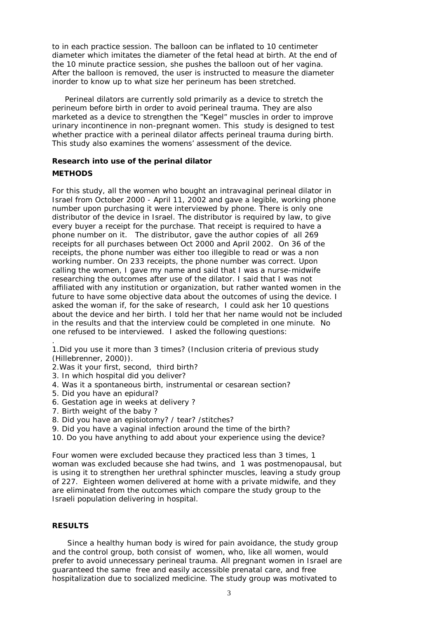to in each practice session. The balloon can be inflated to 10 centimeter diameter which imitates the diameter of the fetal head at birth. At the end of the 10 minute practice session, she pushes the balloon out of her vagina. After the balloon is removed, the user is instructed to measure the diameter inorder to know up to what size her perineum has been stretched.

 Perineal dilators are currently sold primarily as a device to stretch the perineum before birth in order to avoid perineal trauma. They are also marketed as a device to strengthen the "Kegel" muscles in order to improve urinary incontinence in non-pregnant women. This study is designed to test whether practice with a perineal dilator affects perineal trauma during birth. This study also examines the womens' assessment of the device.

**Research into use of the perinal dilator**

## **METHODS**

.

For this study, all the women who bought an intravaginal perineal dilator in Israel from October 2000 - April 11, 2002 and gave a legible, working phone number upon purchasing it were interviewed by phone. There is only one distributor of the device in Israel. The distributor is required by law, to give every buyer a receipt for the purchase. That receipt is required to have a phone number on it. The distributor, gave the author copies of all 269 receipts for all purchases between Oct 2000 and April 2002. On 36 of the receipts, the phone number was either too illegible to read or was a non working number. On 233 receipts, the phone number was correct. Upon calling the women, I gave my name and said that I was a nurse-midwife researching the outcomes after use of the dilator. I said that I was not affiliated with any institution or organization, but rather wanted women in the future to have some objective data about the outcomes of using the device. I asked the woman if, for the sake of research, I could ask her 10 questions about the device and her birth. I told her that her name would not be included in the results and that the interview could be completed in one minute. No one refused to be interviewed. I asked the following questions:

1.Did you use it more than 3 times? (Inclusion criteria of previous study (Hillebrenner, 2000)).

- 2.Was it your first, second, third birth?
- 3. In which hospital did you deliver?
- 4. Was it a spontaneous birth, instrumental or cesarean section?
- 5. Did you have an epidural?
- 6. Gestation age in weeks at delivery ?
- 7. Birth weight of the baby ?
- 8. Did you have an episiotomy? / tear? /stitches?
- 9. Did you have a vaginal infection around the time of the birth?
- 10. Do you have anything to add about your experience using the device?

Four women were excluded because they practiced less than 3 times, 1 woman was excluded because she had twins, and 1 was postmenopausal, but is using it to strengthen her urethral sphincter muscles, leaving a study group of 227. Eighteen women delivered at home with a private midwife, and they are eliminated from the outcomes which compare the study group to the Israeli population delivering in hospital.

## **RESULTS**

 Since a healthy human body is wired for pain avoidance, the study group and the control group, both consist of women, who, like all women, would prefer to avoid unnecessary perineal trauma. All pregnant women in Israel are guaranteed the same free and easily accessible prenatal care, and free hospitalization due to socialized medicine. The study group was motivated to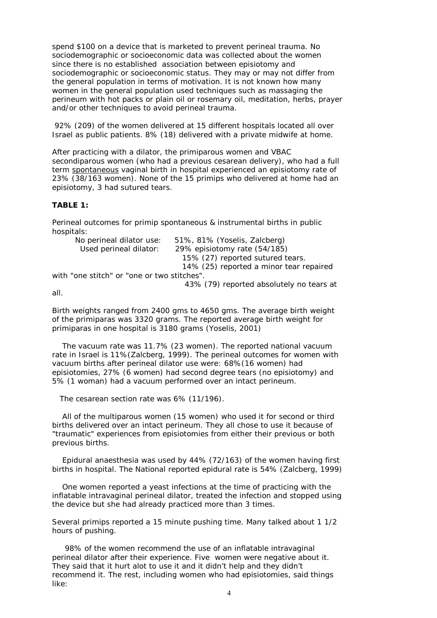spend \$100 on a device that is marketed to prevent perineal trauma. No sociodemographic or socioeconomic data was collected about the women since there is no established association between episiotomy and sociodemographic or socioeconomic status. They may or may not differ from the general population in terms of motivation. It is not known how many women in the general population used techniques such as massaging the perineum with hot packs or plain oil or rosemary oil, meditation, herbs, prayer and/or other techniques to avoid perineal trauma.

 92% (209) of the women delivered at 15 different hospitals located all over Israel as public patients. 8% (18) delivered with a private midwife at home.

After practicing with a dilator, the primiparous women and VBAC secondiparous women (who had a previous cesarean delivery), who had a full term spontaneous vaginal birth in hospital experienced an episiotomy rate of 23% (38/163 women). None of the 15 primips who delivered at home had an episiotomy, 3 had sutured tears.

**TABLE 1:**

Perineal outcomes for primip spontaneous & instrumental births in public hospitals:

| No perineal dilator use:                    | 51%, 81% (Yoselis, Zalcberg)             |
|---------------------------------------------|------------------------------------------|
| Used perineal dilator:                      | 29% episiotomy rate (54/185)             |
|                                             | 15% (27) reported sutured tears.         |
|                                             | 14% (25) reported a minor tear repaired  |
| with "one stitch" or "one or two stitches". |                                          |
|                                             | 43% (79) reported absolutely no tears at |

all.

Birth weights ranged from 2400 gms to 4650 gms. The average birth weight of the primiparas was 3320 grams. The reported average birth weight for primiparas in one hospital is 3180 grams (Yoselis, 2001)

 The vacuum rate was 11.7% (23 women). The reported national vacuum rate in Israel is 11%(Zalcberg, 1999). The perineal outcomes for women with vacuum births after perineal dilator use were: 68%(16 women) had episiotomies, 27% (6 women) had second degree tears (no episiotomy) and 5% (1 woman) had a vacuum performed over an intact perineum.

The cesarean section rate was 6% (11/196).

 All of the multiparous women (15 women) who used it for second or third births delivered over an intact perineum. They all chose to use it because of "traumatic" experiences from episiotomies from either their previous or both previous births.

 Epidural anaesthesia was used by 44% (72/163) of the women having first births in hospital. The National reported epidural rate is 54% (Zalcberg, 1999)

 One women reported a yeast infections at the time of practicing with the inflatable intravaginal perineal dilator, treated the infection and stopped using the device but she had already practiced more than 3 times.

Several primips reported a 15 minute pushing time. Many talked about 1 1/2 hours of pushing.

 98% of the women recommend the use of an inflatable intravaginal perineal dilator after their experience. Five women were negative about it. They said that it hurt alot to use it and it didn't help and they didn't recommend it. The rest, including women who had episiotomies, said things like: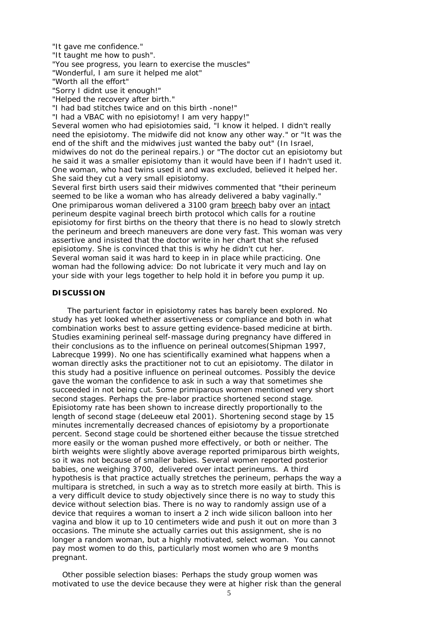"It gave me confidence."

"It taught me how to push".

"You see progress, you learn to exercise the muscles"

"Wonderful, I am sure it helped me alot"

"Worth all the effort"

"Sorry I didnt use it enough!"

"Helped the recovery after birth."

"I had bad stitches twice and on this birth -none!"

"I had a VBAC with no episiotomy! I am very happy!"

Several women who had episiotomies said, "I know it helped. I didn't really need the episiotomy. The midwife did not know any other way." or "It was the end of the shift and the midwives just wanted the baby out" (In Israel, midwives do not do the perineal repairs.) or "The doctor cut an episiotomy but he said it was a smaller episiotomy than it would have been if I hadn't used it. One woman, who had twins used it and was excluded, believed it helped her. She said they cut a very small episiotomy.

Several first birth users said their midwives commented that "their perineum seemed to be like a woman who has already delivered a baby vaginally." One primiparous woman delivered a 3100 gram breech baby over an intact perineum despite vaginal breech birth protocol which calls for a routine episiotomy for first births on the theory that there is no head to slowly stretch the perineum and breech maneuvers are done very fast. This woman was very assertive and insisted that the doctor write in her chart that she refused episiotomy. She is convinced that this is why he didn't cut her. Several woman said it was hard to keep in in place while practicing. One woman had the following advice: Do not lubricate it very much and lay on your side with your legs together to help hold it in before you pump it up.

### **DISCUSSION**

 The parturient factor in episiotomy rates has barely been explored. No study has yet looked whether assertiveness or compliance and both in what combination works best to assure getting evidence-based medicine at birth. Studies examining perineal self-massage during pregnancy have differed in their conclusions as to the influence on perineal outcomes(Shipman 1997, Labrecque 1999). No one has scientifically examined what happens when a woman directly asks the practitioner not to cut an episiotomy. The dilator in this study had a positive influence on perineal outcomes. Possibly the device gave the woman the confidence to ask in such a way that sometimes she succeeded in not being cut. Some primiparous women mentioned very short second stages. Perhaps the pre-labor practice shortened second stage. Episiotomy rate has been shown to increase directly proportionally to the length of second stage (deLeeuw etal 2001). Shortening second stage by 15 minutes incrementally decreased chances of episiotomy by a proportionate percent. Second stage could be shortened either because the tissue stretched more easily or the woman pushed more effectively, or both or neither. The birth weights were slightly above average reported primiparous birth weights, so it was not because of smaller babies. Several women reported posterior babies, one weighing 3700, delivered over intact perineums. A third hypothesis is that practice actually stretches the perineum, perhaps the way a multipara is stretched, in such a way as to stretch more easily at birth. This is a very difficult device to study objectively since there is no way to study this device without selection bias. There is no way to randomly assign use of a device that requires a woman to insert a 2 inch wide silicon balloon into her vagina and blow it up to 10 centimeters wide and push it out on more than 3 occasions. The minute she actually carries out this assignment, she is no longer a random woman, but a highly motivated, select woman. You cannot pay most women to do this, particularly most women who are 9 months pregnant.

 Other possible selection biases: Perhaps the study group women was motivated to use the device because they were at higher risk than the general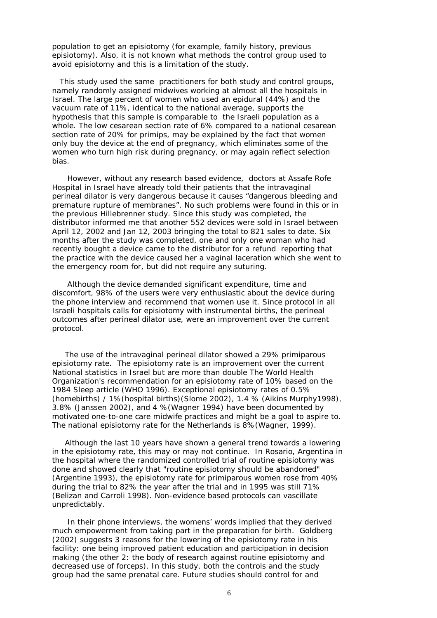population to get an episiotomy (for example, family history, previous episiotomy). Also, it is not known what methods the control group used to avoid episiotomy and this is a limitation of the study.

 This study used the same practitioners for both study and control groups, namely randomly assigned midwives working at almost all the hospitals in Israel. The large percent of women who used an epidural (44%) and the vacuum rate of 11%, identical to the national average, supports the hypothesis that this sample is comparable to the Israeli population as a whole. The low cesarean section rate of 6% compared to a national cesarean section rate of 20% for primips, may be explained by the fact that women only buy the device at the end of pregnancy, which eliminates some of the women who turn high risk during pregnancy, or may again reflect selection bias.

 However, without any research based evidence, doctors at Assafe Rofe Hospital in Israel have already told their patients that the intravaginal perineal dilator is very dangerous because it causes "dangerous bleeding and premature rupture of membranes". No such problems were found in this or in the previous Hillebrenner study. Since this study was completed, the distributor informed me that another 552 devices were sold in Israel between April 12, 2002 and Jan 12, 2003 bringing the total to 821 sales to date. Six months after the study was completed, one and only one woman who had recently bought a device came to the distributor for a refund reporting that the practice with the device caused her a vaginal laceration which she went to the emergency room for, but did not require any suturing.

 Although the device demanded significant expenditure, time and discomfort, 98% of the users were very enthusiastic about the device during the phone interview and recommend that women use it. Since protocol in all Israeli hospitals calls for episiotomy with instrumental births, the perineal outcomes after perineal dilator use, were an improvement over the current protocol.

 The use of the intravaginal perineal dilator showed a 29% primiparous episiotomy rate. The episiotomy rate is an improvement over the current National statistics in Israel but are more than double The World Health Organization's recommendation for an episiotomy rate of 10% based on the 1984 Sleep article (WHO 1996). Exceptional episiotomy rates of 0.5% (homebirths) / 1%(hospital births)(Slome 2002), 1.4 % (Aikins Murphy1998), 3.8% (Janssen 2002), and 4 %(Wagner 1994) have been documented by motivated one-to-one care midwife practices and might be a goal to aspire to. The national episiotomy rate for the Netherlands is 8%(Wagner, 1999).

 Although the last 10 years have shown a general trend towards a lowering in the episiotomy rate, this may or may not continue. In Rosario, Argentina in the hospital where the randomized controlled trial of routine episiotomy was done and showed clearly that "routine episiotomy should be abandoned" (Argentine 1993), the episiotomy rate for primiparous women rose from 40% during the trial to 82% the year after the trial and in 1995 was still 71% (Belizan and Carroli 1998). Non-evidence based protocols can vascillate unpredictably.

 In their phone interviews, the womens' words implied that they derived much empowerment from taking part in the preparation for birth. Goldberg (2002) suggests 3 reasons for the lowering of the episiotomy rate in his facility: one being improved patient education and participation in decision making (the other 2: the body of research against routine episiotomy and decreased use of forceps). In this study, both the controls and the study group had the same prenatal care. Future studies should control for and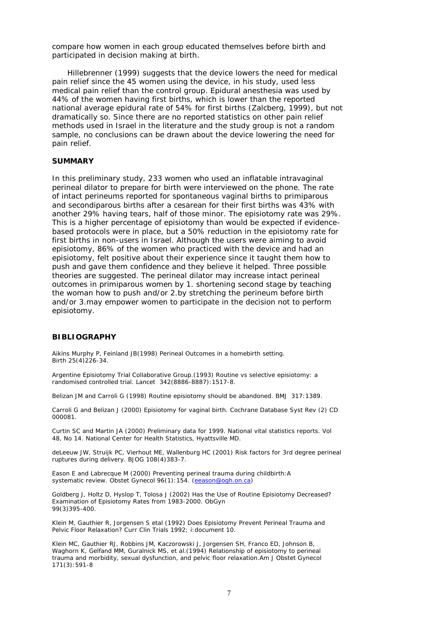compare how women in each group educated themselves before birth and participated in decision making at birth.

 Hillebrenner (1999) suggests that the device lowers the need for medical pain relief since the 45 women using the device, in his study, used less medical pain relief than the control group. Epidural anesthesia was used by 44% of the women having first births, which is lower than the reported national average epidural rate of 54% for first births (Zalcberg, 1999), but not dramatically so. Since there are no reported statistics on other pain relief methods used in Israel in the literature and the study group is not a random sample, no conclusions can be drawn about the device lowering the need for pain relief.

#### **SUMMARY**

In this preliminary study, 233 women who used an inflatable intravaginal perineal dilator to prepare for birth were interviewed on the phone. The rate of intact perineums reported for spontaneous vaginal births to primiparous and secondiparous births after a cesarean for their first births was 43% with another 29% having tears, half of those minor. The episiotomy rate was 29%. This is a higher percentage of episiotomy than would be expected if evidencebased protocols were in place, but a 50% reduction in the episiotomy rate for first births in non-users in Israel. Although the users were aiming to avoid episiotomy, 86% of the women who practiced with the device and had an episiotomy, felt positive about their experience since it taught them how to push and gave them confidence and they believe it helped. Three possible theories are suggested. The perineal dilator may increase intact perineal outcomes in primiparous women by 1. shortening second stage by teaching the woman how to push and/or 2.by stretching the perineum before birth and/or 3.may empower women to participate in the decision not to perform episiotomy.

### **BIBLIOGRAPHY**

Aikins Murphy P, Feinland JB(1998) Perineal Outcomes in a homebirth setting. Birth 25(4)226-34.

Argentine Episiotomy Trial Collaborative Group.(1993) Routine vs selective episiotomy: a randomised controlled trial. Lancet 342(8886-8887):1517-8.

Belizan JM and Carroli G (1998) Routine episiotomy should be abandoned. BMJ 317:1389.

Carroli G and Belizan J (2000) Episiotomy for vaginal birth. Cochrane Database Syst Rev (2) CD 000081.

Curtin SC and Martin JA (2000) Preliminary data for 1999. National vital statistics reports. Vol 48, No 14. National Center for Health Statistics, Hyattsville MD.

deLeeuw JW, Struijk PC, Vierhout ME, Wallenburg HC (2001) Risk factors for 3rd degree perineal ruptures during delivery. BJOG 108(4)383-7.

Eason E and Labrecque M (2000) Preventing perineal trauma during childbirth:A systematic review. Obstet Gynecol 96(1):154. (eeason@ogh.on.ca)

Goldberg J, Holtz D, Hyslop T, Tolosa J (2002) Has the Use of Routine Episiotomy Decreased? Examination of Episiotomy Rates from 1983-2000. ObGyn 99(3)395-400.

Klein M, Gauthier R, Jorgensen S etal (1992) Does Episiotomy Prevent Perineal Trauma and Pelvic Floor Relaxation? Curr Clin Trials 1992; i:document 10.

Klein MC, Gauthier RJ, Robbins JM, Kaczorowski J, Jorgensen SH, Franco ED, Johnson B, Waghorn K, Gelfand MM, Guralnick MS, et al.(1994) Relationship of episiotomy to perineal trauma and morbidity, sexual dysfunction, and pelvic floor relaxation.Am J Obstet Gynecol 171(3):591-8